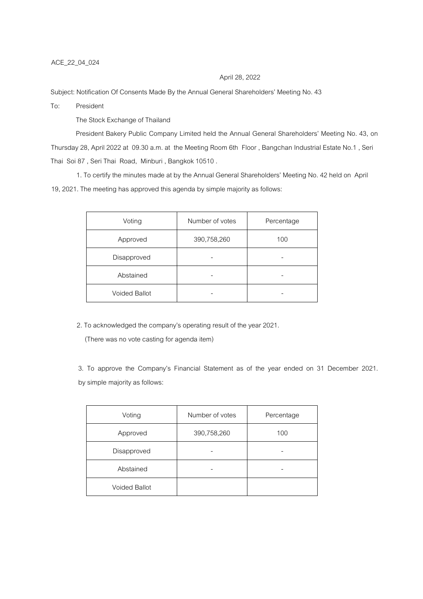## April 28, 2022

Subject: Notification Of Consents Made By the Annual General Shareholders' Meeting No. 43

To: President

The Stock Exchange of Thailand

President Bakery Public Company Limited held the Annual General Shareholders' Meeting No. 43, on Thursday 28, April 2022 at 09.30 a.m. at the Meeting Room 6th Floor , Bangchan Industrial Estate No.1 , Seri Thai Soi 87 , Seri Thai Road, Minburi , Bangkok 10510 .

1. To certify the minutes made at by the Annual General Shareholders' Meeting No. 42 held on April 19, 2021. The meeting has approved this agenda by simple majority as follows:

| Voting               | Number of votes | Percentage |
|----------------------|-----------------|------------|
| Approved             | 390,758,260     | 100        |
| Disapproved          |                 |            |
| Abstained            |                 |            |
| <b>Voided Ballot</b> |                 |            |

2. To acknowledged the company's operating result of the year 2021.

(There was no vote casting for agenda item)

3. To approve the Company's Financial Statement as of the year ended on 31 December 2021. by simple majority as follows:

| Voting               | Number of votes | Percentage |
|----------------------|-----------------|------------|
| Approved             | 390,758,260     | 100        |
| Disapproved          |                 |            |
| Abstained            |                 |            |
| <b>Voided Ballot</b> |                 |            |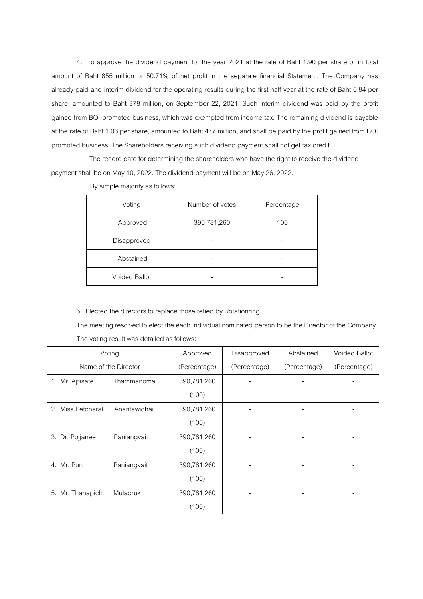4. To approve the dividend payment for the year 2021 at the rate of Baht 1.90 per share or in total amount of Baht 855 million or 50.71% of net profit in the separate financial Statement. The Company has already paid and interim dividend for the operating results during the first half-year at the rate of Baht 0.84 per share, amounted to Baht 378 million, on September 22, 2021. Such interim dividend was paid by the profit gained from BOI-promoted business, which was exempted from income tax. The remaining dividend is payable at the rate of Baht 1.06 per share, amounted to Baht 477 million, and shall be paid by the profit gained from BOI promoted business. The Shareholders receiving such dividend payment shall not get tax credit.

 The record date for determining the shareholders who have the right to receive the dividend payment shall be on May 10, 2022. The dividend payment will be on May 26, 2022.

| Voting               | Number of votes | Percentage |
|----------------------|-----------------|------------|
| Approved             | 390,781,260     | 100        |
| Disapproved          |                 |            |
| Abstained            |                 |            |
| <b>Voided Ballot</b> |                 |            |

By simple majority as follows:

5. Elected the directors to replace those retied by Rotationring

The meeting resolved to elect the each individual nominated person to be the Director of the Company The voting result was detailed as follows:

|                      | Voting       | Approved     | Disapproved  | Abstained    | <b>Voided Ballot</b> |
|----------------------|--------------|--------------|--------------|--------------|----------------------|
| Name of the Director |              | (Percentage) | (Percentage) | (Percentage) | (Percentage)         |
| 1. Mr. Apisate       | Thammanomai  | 390,781,260  |              |              |                      |
|                      |              | (100)        |              |              |                      |
| 2. Miss Petcharat    | Anantawichai | 390,781,260  |              |              |                      |
|                      |              | (100)        |              |              |                      |
| 3. Dr. Pojjanee      | Paniangvait  | 390,781,260  |              |              |                      |
|                      |              | (100)        |              |              |                      |
| 4. Mr. Pun           | Paniangvait  | 390,781,260  |              |              |                      |
|                      |              | (100)        |              |              |                      |
| 5. Mr. Thanapich     | Mulapruk     | 390,781,260  |              |              |                      |
|                      |              | (100)        |              |              |                      |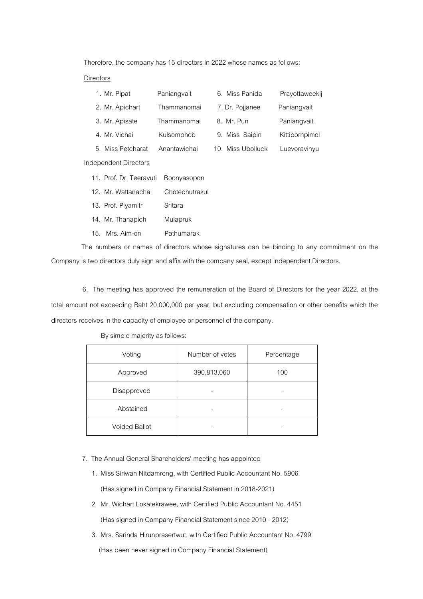Therefore, the company has 15 directors in 2022 whose names as follows:

## Directors

|                 | 1. Mr. Pipat            | Paniangvait    | 6. Miss Panida    | Prayottaweekij |
|-----------------|-------------------------|----------------|-------------------|----------------|
|                 | 2. Mr. Apichart         | Thammanomai    | 7. Dr. Pojjanee   | Paniangvait    |
|                 | 3. Mr. Apisate          | Thammanomai    | 8. Mr. Pun        | Paniangvait    |
|                 | 4. Mr. Vichai           | Kulsomphob     | 9. Miss Saipin    | Kittipornpimol |
|                 | 5. Miss Petcharat       | Anantawichai   | 10. Miss Ubolluck | Luevoravinyu   |
|                 | Independent Directors   |                |                   |                |
|                 | 11. Prof. Dr. Teeravuti | Boonyasopon    |                   |                |
| 12 <sub>1</sub> | Mr. Wattanachai         | Chotechutrakul |                   |                |

13. Prof. Piyamitr Sritara

- 14. Mr. Thanapich Mulapruk
- 15. Mrs. Aim-on Pathumarak

The numbers or names of directors whose signatures can be binding to any commitment on the Company is two directors duly sign and affix with the company seal, except Independent Directors.

 6. The meeting has approved the remuneration of the Board of Directors for the year 2022, at the total amount not exceeding Baht 20,000,000 per year, but excluding compensation or other benefits which the directors receives in the capacity of employee or personnel of the company.

## By simple majority as follows:

| Voting               | Number of votes | Percentage |
|----------------------|-----------------|------------|
| Approved             | 390,813,060     | 100        |
| Disapproved          |                 |            |
| Abstained            |                 |            |
| <b>Voided Ballot</b> |                 |            |

## 7. The Annual General Shareholders' meeting has appointed

- 1. Miss Siriwan Nitdamrong, with Certified Public Accountant No. 5906 (Has signed in Company Financial Statement in 2018-2021)
- 2 Mr. Wichart Lokatekrawee, with Certified Public Accountant No. 4451 (Has signed in Company Financial Statement since 2010 - 2012)
- 3. Mrs. Sarinda Hirunprasertwut, with Certified Public Accountant No. 4799 (Has been never signed in Company Financial Statement)